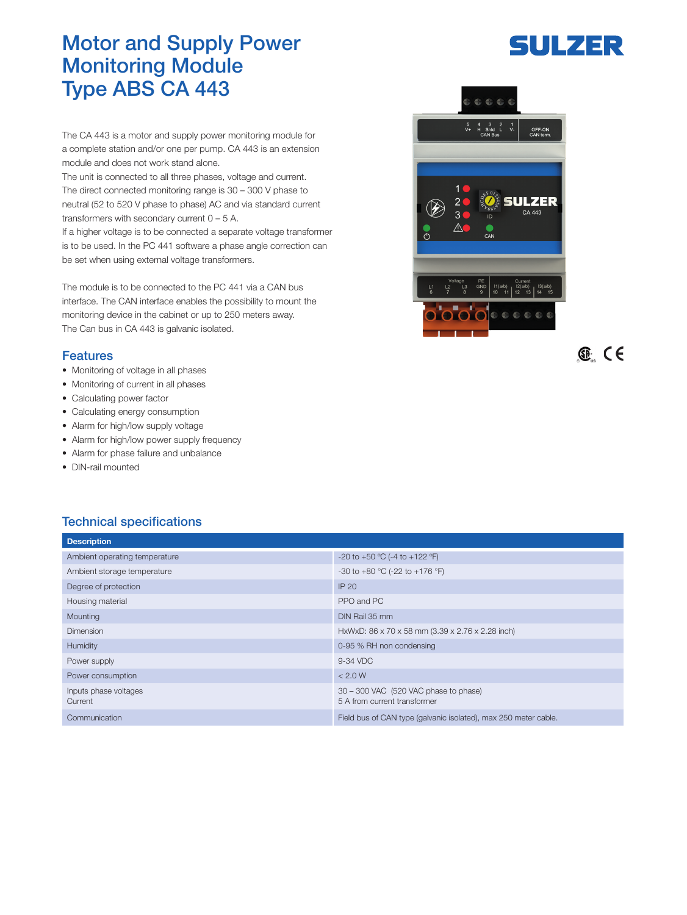## Motor and Supply Power Monitoring Module Type ABS CA 443

The CA 443 is a motor and supply power monitoring module for a complete station and/or one per pump. CA 443 is an extension module and does not work stand alone.

The unit is connected to all three phases, voltage and current. The direct connected monitoring range is 30 – 300 V phase to neutral (52 to 520 V phase to phase) AC and via standard current transformers with secondary current  $0 - 5$  A.

If a higher voltage is to be connected a separate voltage transformer is to be used. In the PC 441 software a phase angle correction can be set when using external voltage transformers.

The module is to be connected to the PC 441 via a CAN bus interface. The CAN interface enables the possibility to mount the monitoring device in the cabinet or up to 250 meters away. The Can bus in CA 443 is galvanic isolated.

## Features

- Monitoring of voltage in all phases
- Monitoring of current in all phases
- Calculating power factor
- Calculating energy consumption
- Alarm for high/low supply voltage
- Alarm for high/low power supply frequency
- Alarm for phase failure and unbalance
- DIN-rail mounted

## Technical specifications

| <b>Description</b>               |                                                                       |
|----------------------------------|-----------------------------------------------------------------------|
| Ambient operating temperature    | -20 to +50 °C (-4 to +122 °F)                                         |
| Ambient storage temperature      | -30 to +80 °C (-22 to +176 °F)                                        |
| Degree of protection             | IP 20                                                                 |
| Housing material                 | PPO and PC                                                            |
| Mounting                         | DIN Rail 35 mm                                                        |
| Dimension                        | HxWxD: 86 x 70 x 58 mm (3.39 x 2.76 x 2.28 inch)                      |
| Humidity                         | 0-95 % RH non condensing                                              |
| Power supply                     | 9-34 VDC                                                              |
| Power consumption                | < 2.0 W                                                               |
| Inputs phase voltages<br>Current | 30 - 300 VAC (520 VAC phase to phase)<br>5 A from current transformer |
| Communication                    | Field bus of CAN type (galvanic isolated), max 250 meter cable.       |



 $<sup>1</sup>$  CE</sup>